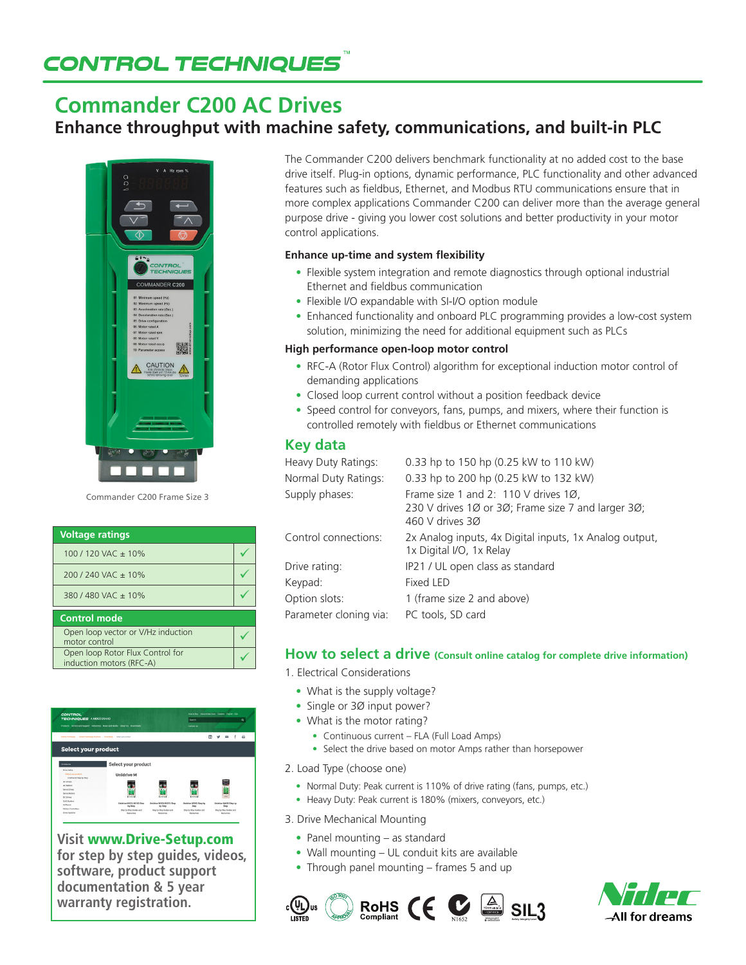# **CONTROL TECHNIQUES**

## **Commander C200 AC Drives**

**Enhance throughput with machine safety, communications, and built-in PLC**



Commander C200 Frame Size 3

| <b>Voltage ratings</b>                                       |  |
|--------------------------------------------------------------|--|
| 100 / 120 VAC $\pm$ 10%                                      |  |
| $200/240$ VAC $\pm$ 10%                                      |  |
| 380/480 VAC ± 10%                                            |  |
| <b>Control mode</b>                                          |  |
| Open loop vector or V/Hz induction<br>motor control          |  |
| Open loop Rotor Flux Control for<br>induction motors (RFC-A) |  |



**Visit** www.Drive-Setup.com **for step by step guides, videos, software, product support documentation & 5 year warranty registration.**

The Commander C200 delivers benchmark functionality at no added cost to the base drive itself. Plug-in options, dynamic performance, PLC functionality and other advanced features such as fieldbus, Ethernet, and Modbus RTU communications ensure that in more complex applications Commander C200 can deliver more than the average general purpose drive - giving you lower cost solutions and better productivity in your motor control applications.

#### **Enhance up-time and system flexibility**

- Flexible system integration and remote diagnostics through optional industrial Ethernet and fieldbus communication
- Flexible I/O expandable with SI-I/O option module
- Enhanced functionality and onboard PLC programming provides a low-cost system solution, minimizing the need for additional equipment such as PLCs

#### **High performance open-loop motor control**

- RFC-A (Rotor Flux Control) algorithm for exceptional induction motor control of demanding applications
- Closed loop current control without a position feedback device
- Speed control for conveyors, fans, pumps, and mixers, where their function is controlled remotely with fieldbus or Ethernet communications

#### **Key data**

| Heavy Duty Ratings:    | 0.33 hp to 150 hp (0.25 kW to 110 kW)                                                                         |
|------------------------|---------------------------------------------------------------------------------------------------------------|
| Normal Duty Ratings:   | 0.33 hp to 200 hp (0.25 kW to 132 kW)                                                                         |
| Supply phases:         | Frame size 1 and 2: 110 V drives 10.<br>230 V drives 10 or 30; Frame size 7 and larger 30;<br>460 V drives 30 |
| Control connections:   | 2x Analog inputs, 4x Digital inputs, 1x Analog output,<br>1x Digital I/O, 1x Relay                            |
| Drive rating:          | IP21 / UL open class as standard                                                                              |
| Keypad:                | <b>Fixed LED</b>                                                                                              |
| Option slots:          | 1 (frame size 2 and above)                                                                                    |
| Parameter cloning via: | PC tools, SD card                                                                                             |
|                        |                                                                                                               |

#### **How to select a drive (Consult online catalog for complete drive information)**

- 1. Electrical Considerations
	- What is the supply voltage?
	- Single or 30 input power?
	- What is the motor rating?
		- Continuous current FLA (Full Load Amps)
		- Select the drive based on motor Amps rather than horsepower
- 2. Load Type (choose one)
	- Normal Duty: Peak current is 110% of drive rating (fans, pumps, etc.)
	- Heavy Duty: Peak current is 180% (mixers, conveyors, etc.)
- 3. Drive Mechanical Mounting
	- Panel mounting as standard
	- Wall mounting UL conduit kits are available
	- Through panel mounting frames 5 and up